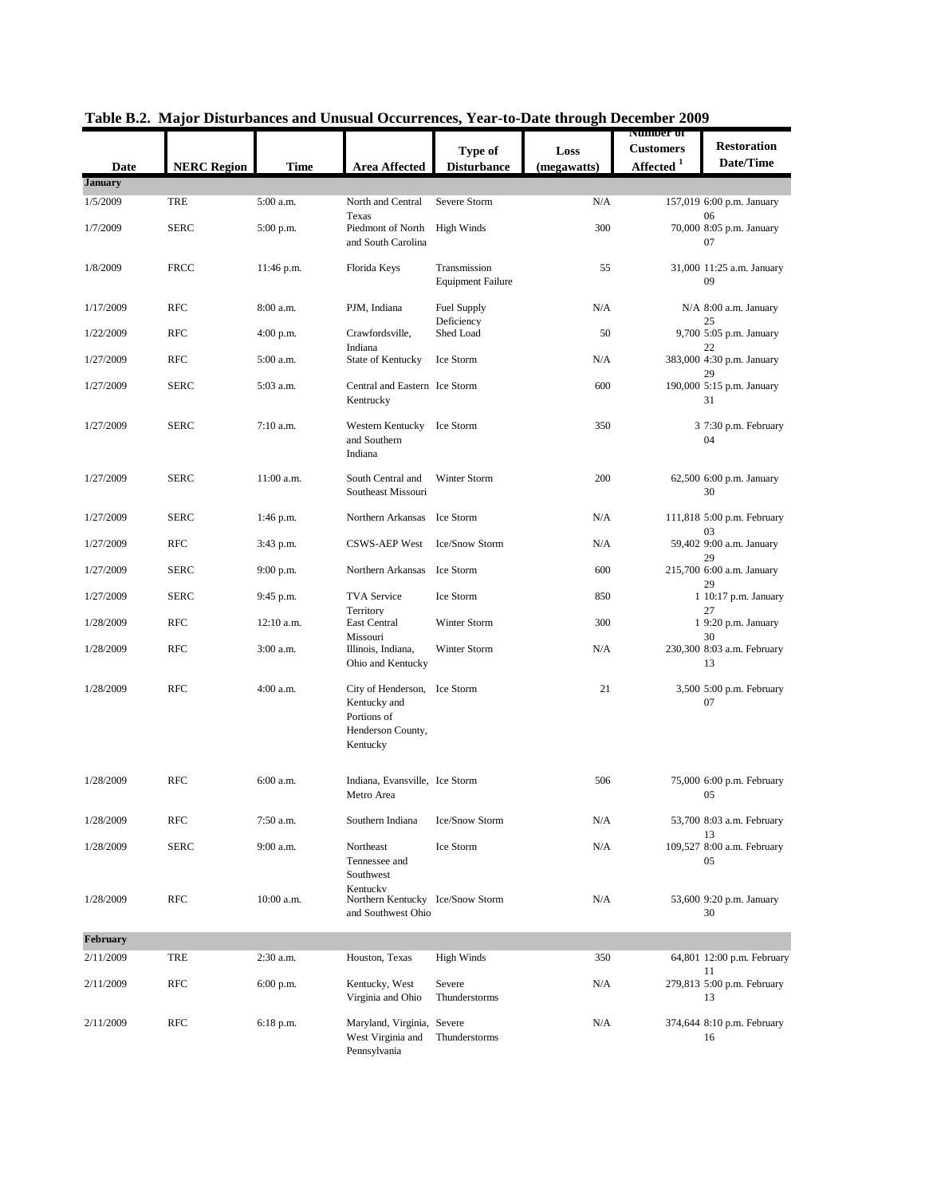| Date           | <b>NERC Region</b> | <b>Time</b>  | <b>Area Affected</b>                                                                         | Type of<br><b>Disturbance</b>            | Loss<br>(megawatts) | Number of<br><b>Customers</b><br>Affected <sup>1</sup> | <b>Restoration</b><br>Date/Time        |
|----------------|--------------------|--------------|----------------------------------------------------------------------------------------------|------------------------------------------|---------------------|--------------------------------------------------------|----------------------------------------|
| <b>January</b> |                    |              |                                                                                              |                                          |                     |                                                        |                                        |
| 1/5/2009       | TRE                | 5:00 a.m.    | North and Central<br>Texas                                                                   | Severe Storm                             | N/A                 |                                                        | 157,019 6:00 p.m. January<br>06        |
| 1/7/2009       | <b>SERC</b>        | 5:00 p.m.    | Piedmont of North<br>and South Carolina                                                      | <b>High Winds</b>                        | 300                 |                                                        | 70,000 8:05 p.m. January<br>07         |
| 1/8/2009       | <b>FRCC</b>        | 11:46 p.m.   | Florida Keys                                                                                 | Transmission<br><b>Equipment Failure</b> | 55                  |                                                        | 31,000 11:25 a.m. January<br>09        |
| 1/17/2009      | <b>RFC</b>         | 8:00 a.m.    | PJM, Indiana                                                                                 | Fuel Supply<br>Deficiency                | N/A                 |                                                        | N/A 8:00 a.m. January<br>25            |
| 1/22/2009      | <b>RFC</b>         | $4:00$ p.m.  | Crawfordsville,<br>Indiana                                                                   | Shed Load                                | 50                  |                                                        | 9,700 5:05 p.m. January<br>22          |
| 1/27/2009      | <b>RFC</b>         | 5:00 a.m.    | State of Kentucky                                                                            | Ice Storm                                | N/A                 |                                                        | 383,000 4:30 p.m. January<br>29        |
| 1/27/2009      | <b>SERC</b>        | 5:03 a.m.    | Central and Eastern Ice Storm<br>Kentrucky                                                   |                                          | 600                 |                                                        | 190,000 5:15 p.m. January<br>31        |
| 1/27/2009      | <b>SERC</b>        | $7:10$ a.m.  | Western Kentucky Ice Storm<br>and Southern<br>Indiana                                        |                                          | 350                 |                                                        | 3 7:30 p.m. February<br>04             |
| 1/27/2009      | <b>SERC</b>        | 11:00 a.m.   | South Central and<br>Southeast Missouri                                                      | Winter Storm                             | 200                 |                                                        | 62,500 6:00 p.m. January<br>30         |
| 1/27/2009      | <b>SERC</b>        | 1:46 p.m.    | Northern Arkansas Ice Storm                                                                  |                                          | N/A                 |                                                        | 111,818 5:00 p.m. February<br>03       |
| 1/27/2009      | <b>RFC</b>         | 3:43 p.m.    | <b>CSWS-AEP West</b>                                                                         | Ice/Snow Storm                           | N/A                 |                                                        | 59,402 9:00 a.m. January<br>29         |
| 1/27/2009      | <b>SERC</b>        | 9:00 p.m.    | Northern Arkansas Ice Storm                                                                  |                                          | 600                 |                                                        | 215,700 6:00 a.m. January<br>29        |
| 1/27/2009      | <b>SERC</b>        | 9:45 p.m.    | <b>TVA Service</b><br>Territory                                                              | Ice Storm                                | 850                 |                                                        | 1 10:17 p.m. January<br>27             |
| 1/28/2009      | <b>RFC</b>         | $12:10$ a.m. | East Central<br>Missouri                                                                     | Winter Storm                             | 300                 |                                                        | 1 9:20 p.m. January<br>30              |
| 1/28/2009      | <b>RFC</b>         | 3:00 a.m.    | Illinois, Indiana,<br>Ohio and Kentucky                                                      | Winter Storm                             | N/A                 |                                                        | 230,300 8:03 a.m. February<br>13       |
| 1/28/2009      | <b>RFC</b>         | 4:00 a.m.    | City of Henderson, Ice Storm<br>Kentucky and<br>Portions of<br>Henderson County,<br>Kentucky |                                          | 21                  |                                                        | 3,500 5:00 p.m. February<br>07         |
| 1/28/2009      | <b>RFC</b>         | 6:00 a.m.    | Indiana, Evansville, Ice Storm<br>Metro Area                                                 |                                          | 506                 |                                                        | 75,000 6:00 p.m. February<br>05        |
| 1/28/2009      | <b>RFC</b>         | 7:50 a.m.    | Southern Indiana                                                                             | Ice/Snow Storm                           | N/A                 |                                                        | 53,700 8:03 a.m. February              |
| 1/28/2009      | <b>SERC</b>        | 9:00 a.m.    | Northeast<br>Tennessee and<br>Southwest                                                      | Ice Storm                                | N/A                 |                                                        | 13<br>109,527 8:00 a.m. February<br>05 |
| 1/28/2009      | <b>RFC</b>         | 10:00 a.m.   | Kentucky<br>Northern Kentucky Ice/Snow Storm<br>and Southwest Ohio                           |                                          | N/A                 |                                                        | 53,600 9:20 p.m. January<br>30         |
| February       |                    |              |                                                                                              |                                          |                     |                                                        |                                        |
| 2/11/2009      | TRE                | 2:30 a.m.    | Houston, Texas                                                                               | <b>High Winds</b>                        | 350                 |                                                        | 64,801 12:00 p.m. February<br>11       |
| 2/11/2009      | <b>RFC</b>         | 6:00 p.m.    | Kentucky, West<br>Virginia and Ohio                                                          | Severe<br>Thunderstorms                  | N/A                 |                                                        | 279,813 5:00 p.m. February<br>13       |
| 2/11/2009      | <b>RFC</b>         | 6:18 p.m.    | Maryland, Virginia, Severe<br>West Virginia and<br>Pennsylvania                              | Thunderstorms                            | N/A                 |                                                        | 374,644 8:10 p.m. February<br>16       |

| Table B.2. Major Disturbances and Unusual Occurrences, Year-to-Date through December 2009 |  |  |  |  |  |
|-------------------------------------------------------------------------------------------|--|--|--|--|--|
|-------------------------------------------------------------------------------------------|--|--|--|--|--|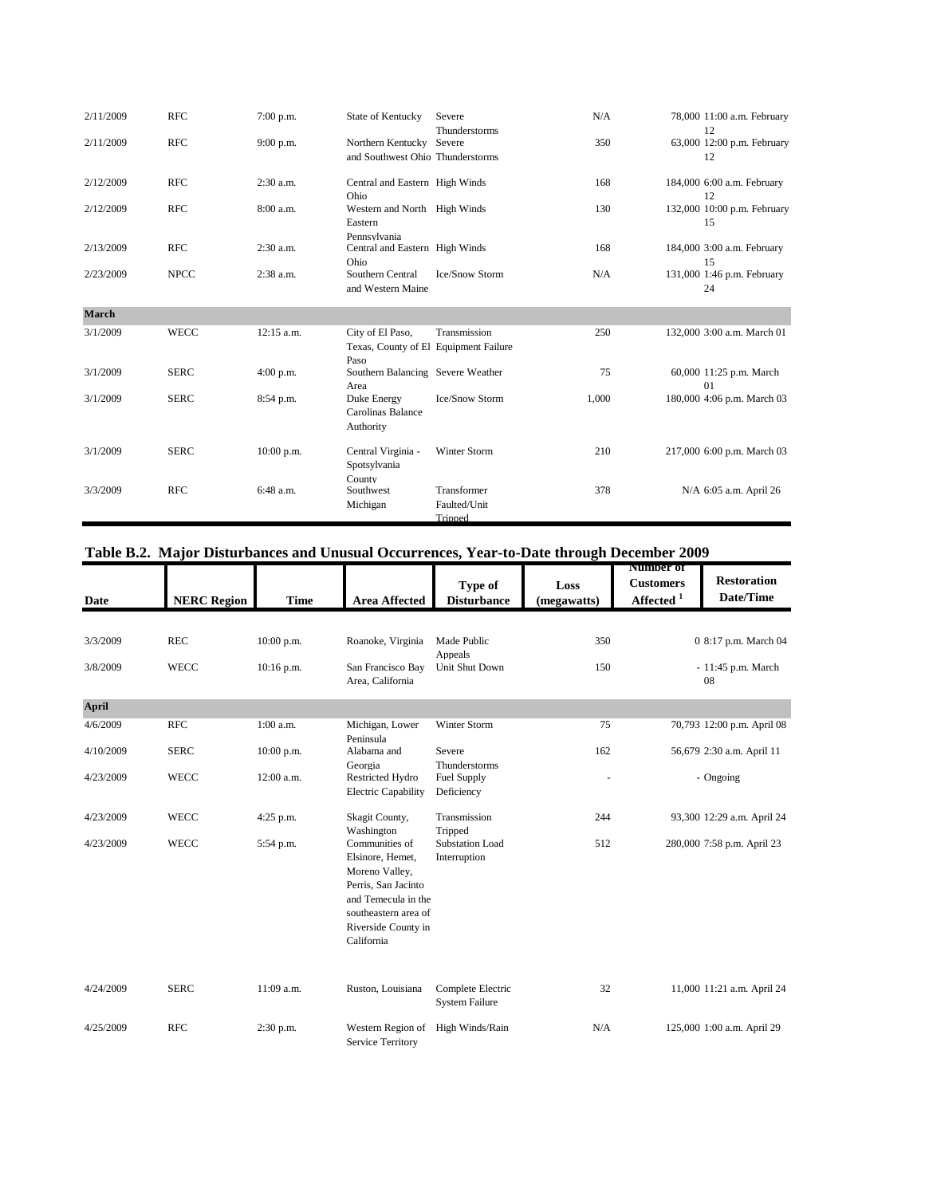| 2/11/2009    | <b>RFC</b>  | $7:00$ p.m. | State of Kentucky                                                 | Severe<br>Thunderstorms                | N/A   | 78,000 11:00 a.m. February<br>12  |
|--------------|-------------|-------------|-------------------------------------------------------------------|----------------------------------------|-------|-----------------------------------|
| 2/11/2009    | <b>RFC</b>  | $9:00$ p.m. | Northern Kentucky<br>and Southwest Ohio Thunderstorms             | Severe                                 | 350   | 63,000 12:00 p.m. February<br>12  |
| 2/12/2009    | <b>RFC</b>  | $2:30$ a.m. | Central and Eastern High Winds<br>Ohio                            |                                        | 168   | 184,000 6:00 a.m. February<br>12  |
| 2/12/2009    | <b>RFC</b>  | 8:00 a.m.   | Western and North High Winds<br>Eastern<br>Pennsylvania           |                                        | 130   | 132,000 10:00 p.m. February<br>15 |
| 2/13/2009    | <b>RFC</b>  | 2:30 a.m.   | Central and Eastern High Winds<br>Ohio                            |                                        | 168   | 184,000 3:00 a.m. February<br>15  |
| 2/23/2009    | <b>NPCC</b> | 2:38 a.m.   | Southern Central<br>and Western Maine                             | Ice/Snow Storm                         | N/A   | 131,000 1:46 p.m. February<br>24  |
| <b>March</b> |             |             |                                                                   |                                        |       |                                   |
| 3/1/2009     | <b>WECC</b> | 12:15 a.m.  | City of El Paso,<br>Texas, County of El Equipment Failure<br>Paso | Transmission                           | 250   | 132,000 3:00 a.m. March 01        |
| 3/1/2009     | <b>SERC</b> | 4:00 p.m.   | Southern Balancing Severe Weather<br>Area                         |                                        | 75    | 60,000 11:25 p.m. March<br>01     |
| 3/1/2009     | <b>SERC</b> | 8:54 p.m.   | Duke Energy<br>Carolinas Balance<br>Authority                     | Ice/Snow Storm                         | 1,000 | 180,000 4:06 p.m. March 03        |
| 3/1/2009     | <b>SERC</b> | 10:00 p.m.  | Central Virginia -<br>Spotsylvania<br>County                      | Winter Storm                           | 210   | 217,000 6:00 p.m. March 03        |
| 3/3/2009     | <b>RFC</b>  | 6:48 a.m.   | Southwest<br>Michigan                                             | Transformer<br>Faulted/Unit<br>Tripped | 378   | N/A 6:05 a.m. April 26            |

## **Table B.2. Major Disturbances and Unusual Occurrences, Year-to-Date through December 2009**

| Date         | <b>NERC Region</b> | <b>Time</b>  | <b>Area Affected</b>                                                                                                                                            | Type of<br><b>Disturbance</b>              | Loss<br>(megawatts) | <b>Number of</b><br><b>Customers</b><br>Affected <sup>1</sup> | <b>Restoration</b><br>Date/Time |
|--------------|--------------------|--------------|-----------------------------------------------------------------------------------------------------------------------------------------------------------------|--------------------------------------------|---------------------|---------------------------------------------------------------|---------------------------------|
|              |                    |              |                                                                                                                                                                 |                                            |                     |                                                               |                                 |
| 3/3/2009     | <b>REC</b>         | $10:00$ p.m. | Roanoke, Virginia                                                                                                                                               | Made Public<br>Appeals                     | 350                 |                                                               | 0 8:17 p.m. March 04            |
| 3/8/2009     | <b>WECC</b>        | $10:16$ p.m. | San Francisco Bay<br>Area, California                                                                                                                           | Unit Shut Down                             | 150                 |                                                               | - 11:45 p.m. March<br>08        |
| <b>April</b> |                    |              |                                                                                                                                                                 |                                            |                     |                                                               |                                 |
| 4/6/2009     | <b>RFC</b>         | $1:00$ a.m.  | Michigan, Lower<br>Peninsula                                                                                                                                    | Winter Storm                               | 75                  |                                                               | 70,793 12:00 p.m. April 08      |
| 4/10/2009    | <b>SERC</b>        | 10:00 p.m.   | Alabama and<br>Georgia                                                                                                                                          | Severe<br>Thunderstorms                    | 162                 |                                                               | 56,679 2:30 a.m. April 11       |
| 4/23/2009    | <b>WECC</b>        | 12:00 a.m.   | Restricted Hydro<br><b>Electric Capability</b>                                                                                                                  | Fuel Supply<br>Deficiency                  |                     |                                                               | - Ongoing                       |
| 4/23/2009    | <b>WECC</b>        | 4:25 p.m.    | Skagit County,<br>Washington                                                                                                                                    | Transmission<br>Tripped                    | 244                 |                                                               | 93,300 12:29 a.m. April 24      |
| 4/23/2009    | <b>WECC</b>        | 5:54 p.m.    | Communities of<br>Elsinore, Hemet,<br>Moreno Valley,<br>Perris, San Jacinto<br>and Temecula in the<br>southeastern area of<br>Riverside County in<br>California | <b>Substation Load</b><br>Interruption     | 512                 |                                                               | 280,000 7:58 p.m. April 23      |
| 4/24/2009    | <b>SERC</b>        | 11:09 a.m.   | Ruston, Louisiana                                                                                                                                               | Complete Electric<br><b>System Failure</b> | 32                  |                                                               | 11,000 11:21 a.m. April 24      |
| 4/25/2009    | <b>RFC</b>         | 2:30 p.m.    | Western Region of<br><b>Service Territory</b>                                                                                                                   | High Winds/Rain                            | N/A                 |                                                               | 125,000 1:00 a.m. April 29      |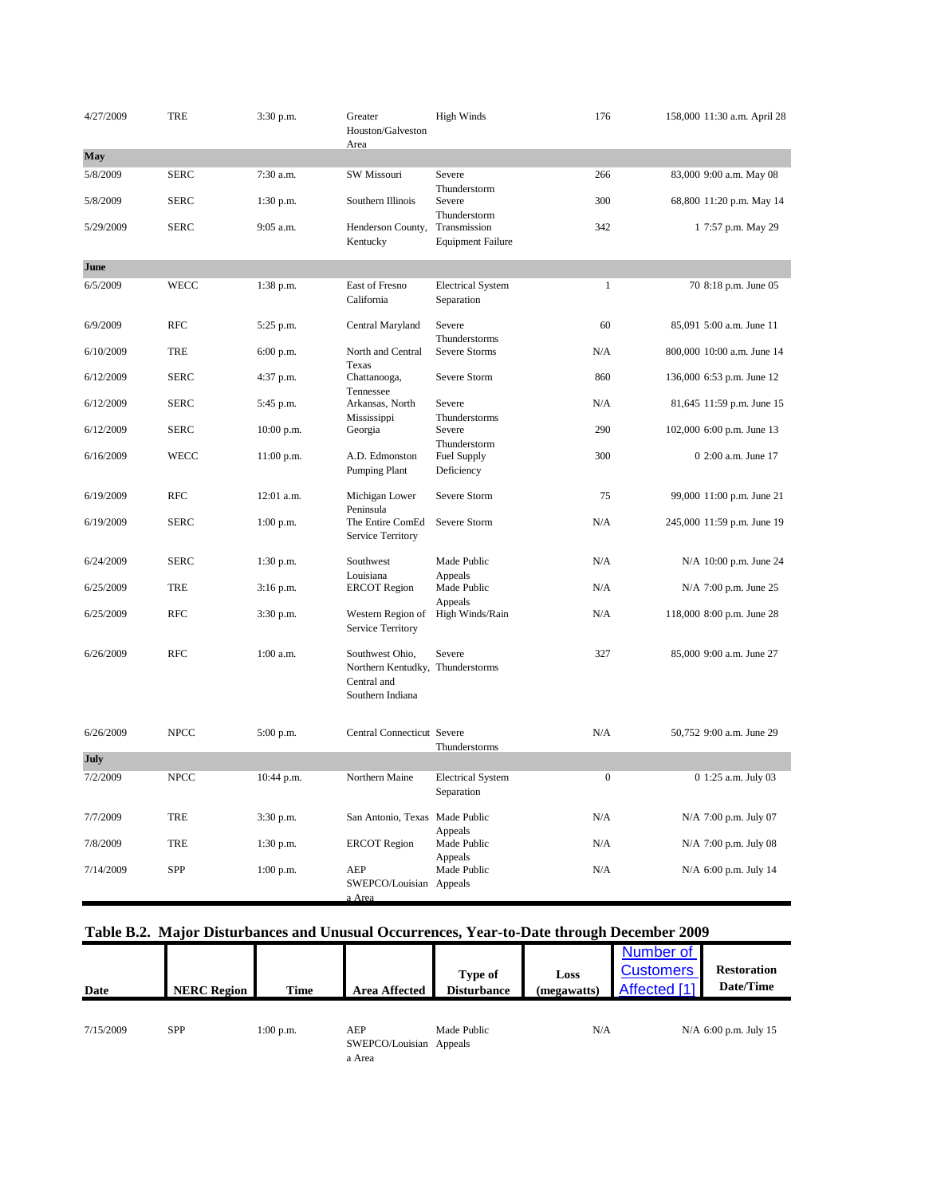| 4/27/2009 | <b>TRE</b>  | 3:30 p.m.   | Greater<br>Houston/Galveston<br>Area                                                   | <b>High Winds</b>                        | 176      | 158,000 11:30 a.m. April 28 |
|-----------|-------------|-------------|----------------------------------------------------------------------------------------|------------------------------------------|----------|-----------------------------|
| May       |             |             |                                                                                        |                                          |          |                             |
| 5/8/2009  | <b>SERC</b> | 7:30 a.m.   | SW Missouri                                                                            | Severe<br>Thunderstorm                   | 266      | 83,000 9:00 a.m. May 08     |
| 5/8/2009  | <b>SERC</b> | $1:30$ p.m. | Southern Illinois                                                                      | Severe<br>Thunderstorm                   | 300      | 68,800 11:20 p.m. May 14    |
| 5/29/2009 | <b>SERC</b> | 9:05 a.m.   | Henderson County,<br>Kentucky                                                          | Transmission<br><b>Equipment Failure</b> | 342      | 1 7:57 p.m. May 29          |
| June      |             |             |                                                                                        |                                          |          |                             |
| 6/5/2009  | WECC        | 1:38 p.m.   | East of Fresno<br>California                                                           | <b>Electrical System</b><br>Separation   | 1        | 70 8:18 p.m. June 05        |
| 6/9/2009  | <b>RFC</b>  | 5:25 p.m.   | Central Maryland                                                                       | Severe<br>Thunderstorms                  | 60       | 85,091 5:00 a.m. June 11    |
| 6/10/2009 | <b>TRE</b>  | 6:00 p.m.   | North and Central<br>Texas                                                             | Severe Storms                            | N/A      | 800,000 10:00 a.m. June 14  |
| 6/12/2009 | <b>SERC</b> | 4:37 p.m.   | Chattanooga,<br>Tennessee                                                              | Severe Storm                             | 860      | 136,000 6:53 p.m. June 12   |
| 6/12/2009 | <b>SERC</b> | 5:45 p.m.   | Arkansas, North<br>Mississippi                                                         | Severe<br>Thunderstorms                  | N/A      | 81,645 11:59 p.m. June 15   |
| 6/12/2009 | <b>SERC</b> | 10:00 p.m.  | Georgia                                                                                | Severe<br>Thunderstorm                   | 290      | 102,000 6:00 p.m. June 13   |
| 6/16/2009 | <b>WECC</b> | 11:00 p.m.  | A.D. Edmonston<br>Pumping Plant                                                        | Fuel Supply<br>Deficiency                | 300      | 0 2:00 a.m. June 17         |
| 6/19/2009 | <b>RFC</b>  | 12:01 a.m.  | Michigan Lower<br>Peninsula                                                            | Severe Storm                             | 75       | 99,000 11:00 p.m. June 21   |
| 6/19/2009 | <b>SERC</b> | $1:00$ p.m. | The Entire ComEd<br>Service Territory                                                  | Severe Storm                             | N/A      | 245,000 11:59 p.m. June 19  |
| 6/24/2009 | <b>SERC</b> | $1:30$ p.m. | Southwest                                                                              | Made Public                              | N/A      | N/A 10:00 p.m. June 24      |
| 6/25/2009 | TRE         | 3:16 p.m.   | Louisiana<br><b>ERCOT</b> Region                                                       | Appeals<br>Made Public<br>Appeals        | N/A      | N/A 7:00 p.m. June 25       |
| 6/25/2009 | <b>RFC</b>  | 3:30 p.m.   | Western Region of<br>Service Territory                                                 | High Winds/Rain                          | N/A      | 118,000 8:00 p.m. June 28   |
| 6/26/2009 | <b>RFC</b>  | 1:00 a.m.   | Southwest Ohio,<br>Northern Kentudky, Thunderstorms<br>Central and<br>Southern Indiana | Severe                                   | 327      | 85,000 9:00 a.m. June 27    |
| 6/26/2009 | <b>NPCC</b> | 5:00 p.m.   | <b>Central Connecticut Severe</b>                                                      | Thunderstorms                            | N/A      | 50,752 9:00 a.m. June 29    |
| July      |             |             |                                                                                        |                                          |          |                             |
| 7/2/2009  | <b>NPCC</b> | 10:44 p.m.  | Northern Maine                                                                         | <b>Electrical System</b><br>Separation   | $\Omega$ | 0 1:25 a.m. July 03         |
| 7/7/2009  | TRE         | 3:30 p.m.   | San Antonio, Texas Made Public                                                         | Appeals                                  | N/A      | N/A 7:00 p.m. July 07       |
| 7/8/2009  | TRE         | 1:30 p.m.   | <b>ERCOT</b> Region                                                                    | Made Public<br>Appeals                   | N/A      | N/A 7:00 p.m. July 08       |
| 7/14/2009 | SPP         | 1:00 p.m.   | AEP<br>SWEPCO/Louisian Appeals<br>a Area                                               | Made Public                              | N/A      | N/A 6:00 p.m. July 14       |

## **Table B.2. Major Disturbances and Unusual Occurrences, Year-to-Date through December 2009**

| Date      | <b>NERC Region</b> | <b>Time</b> | <b>Area Affected</b>                     | Type of<br><b>Disturbance</b> | Loss<br>(megawatts) | Number of<br><b>Customers</b><br>Affected [1] | <b>Restoration</b><br>Date/Time |
|-----------|--------------------|-------------|------------------------------------------|-------------------------------|---------------------|-----------------------------------------------|---------------------------------|
| 7/15/2009 | SPP                | $1:00$ p.m. | AEP<br>SWEPCO/Louisian Appeals<br>a Area | Made Public                   | N/A                 |                                               | N/A 6:00 p.m. July 15           |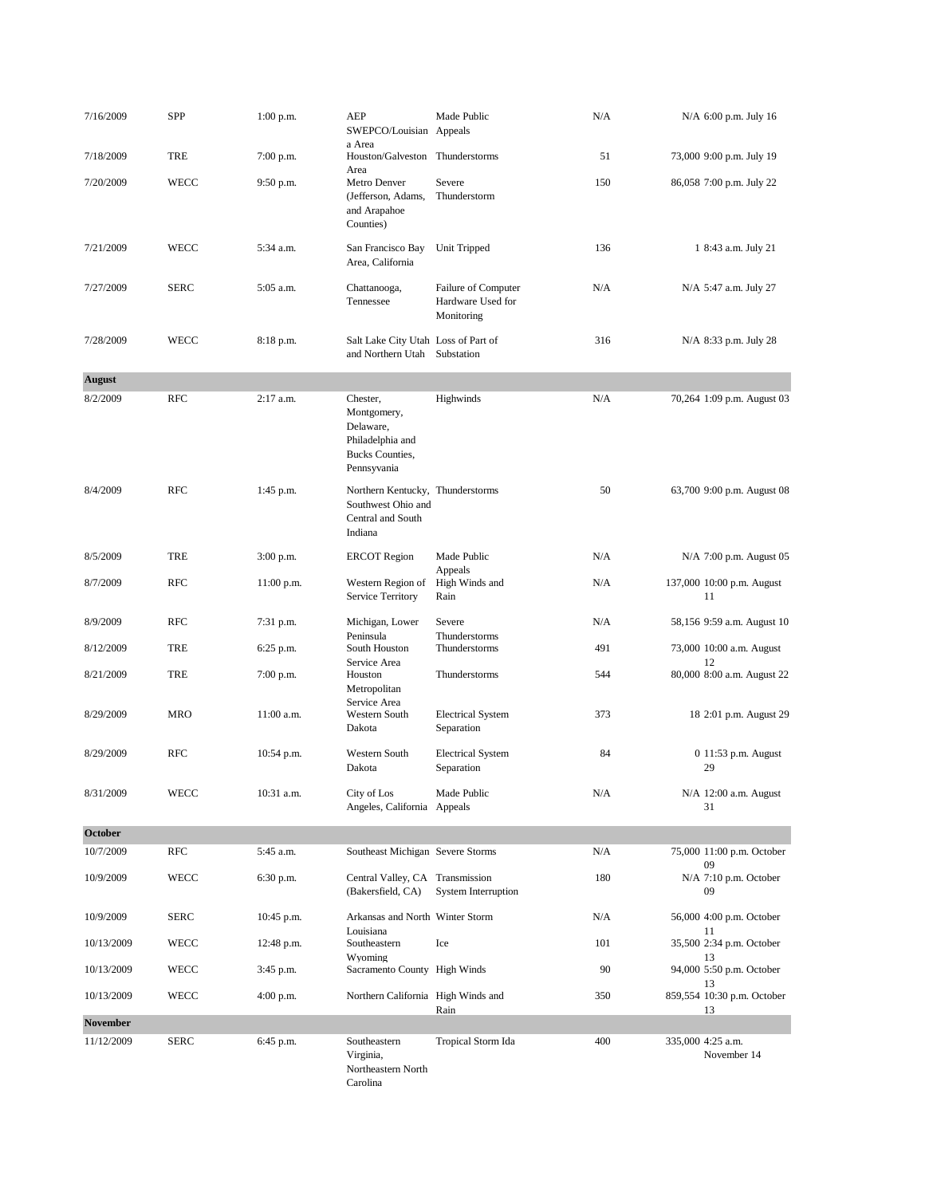| 7/16/2009                     | <b>SPP</b>  | $1:00$ p.m.  | AEP<br>SWEPCO/Louisian                                                                            | Made Public<br>Appeals                                 | N/A | N/A 6:00 p.m. July 16                  |
|-------------------------------|-------------|--------------|---------------------------------------------------------------------------------------------------|--------------------------------------------------------|-----|----------------------------------------|
| 7/18/2009                     | TRE         | $7:00$ p.m.  | a Area<br>Houston/Galveston                                                                       | Thunderstorms                                          | 51  | 73,000 9:00 p.m. July 19               |
| 7/20/2009                     | <b>WECC</b> | 9:50 p.m.    | Area<br>Metro Denver<br>(Jefferson, Adams,<br>and Arapahoe<br>Counties)                           | Severe<br>Thunderstorm                                 | 150 | 86,058 7:00 p.m. July 22               |
| 7/21/2009                     | <b>WECC</b> | 5:34 a.m.    | San Francisco Bay<br>Area, California                                                             | Unit Tripped                                           | 136 | 1 8:43 a.m. July 21                    |
| 7/27/2009                     | <b>SERC</b> | 5:05 a.m.    | Chattanooga,<br>Tennessee                                                                         | Failure of Computer<br>Hardware Used for<br>Monitoring | N/A | N/A 5:47 a.m. July 27                  |
| 7/28/2009                     | <b>WECC</b> | 8:18 p.m.    | Salt Lake City Utah Loss of Part of<br>and Northern Utah Substation                               |                                                        | 316 | N/A 8:33 p.m. July 28                  |
| <b>August</b>                 |             |              |                                                                                                   |                                                        |     |                                        |
| 8/2/2009                      | <b>RFC</b>  | 2:17 a.m.    | Chester,<br>Montgomery,<br>Delaware,<br>Philadelphia and<br><b>Bucks Counties,</b><br>Pennsyvania | Highwinds                                              | N/A | 70,264 1:09 p.m. August 03             |
| 8/4/2009                      | <b>RFC</b>  | 1:45 p.m.    | Northern Kentucky, Thunderstorms<br>Southwest Ohio and<br>Central and South<br>Indiana            |                                                        | 50  | 63,700 9:00 p.m. August 08             |
| 8/5/2009                      | TRE         | $3:00$ p.m.  | <b>ERCOT</b> Region                                                                               | Made Public                                            | N/A | N/A 7:00 p.m. August 05                |
| 8/7/2009                      | <b>RFC</b>  | $11:00$ p.m. | Western Region of<br>Service Territory                                                            | Appeals<br>High Winds and<br>Rain                      | N/A | 137,000 10:00 p.m. August<br>11        |
| 8/9/2009                      | <b>RFC</b>  | 7:31 p.m.    | Michigan, Lower                                                                                   | Severe                                                 | N/A | 58,156 9:59 a.m. August 10             |
| 8/12/2009                     | TRE         | 6:25 p.m.    | Peninsula<br>South Houston                                                                        | Thunderstorms<br>Thunderstorms                         | 491 | 73,000 10:00 a.m. August               |
| 8/21/2009                     | TRE         | $7:00$ p.m.  | Service Area<br>Houston<br>Metropolitan                                                           | Thunderstorms                                          | 544 | 12<br>80,000 8:00 a.m. August 22       |
| 8/29/2009                     | <b>MRO</b>  | 11:00 a.m.   | Service Area<br>Western South<br>Dakota                                                           | <b>Electrical System</b><br>Separation                 | 373 | 18 2:01 p.m. August 29                 |
| 8/29/2009                     | <b>RFC</b>  | 10:54 p.m.   | Western South<br>Dakota                                                                           | <b>Electrical System</b><br>Separation                 | 84  | 0 11:53 p.m. August<br>29              |
| 8/31/2009                     | WECC        | 10:31 a.m.   | City of Los<br>Angeles, California Appeals                                                        | Made Public                                            | N/A | N/A 12:00 a.m. August<br>31            |
| October                       |             |              |                                                                                                   |                                                        |     |                                        |
| 10/7/2009                     | <b>RFC</b>  | 5:45 a.m.    | Southeast Michigan Severe Storms                                                                  |                                                        | N/A | 75,000 11:00 p.m. October              |
| 10/9/2009                     | WECC        | 6:30 p.m.    | Central Valley, CA Transmission<br>(Bakersfield, CA)                                              | <b>System Interruption</b>                             | 180 | 09<br>N/A 7:10 p.m. October<br>09      |
| 10/9/2009                     | <b>SERC</b> | 10:45 p.m.   | Arkansas and North Winter Storm                                                                   |                                                        | N/A | 56,000 4:00 p.m. October               |
| 10/13/2009                    | <b>WECC</b> | 12:48 p.m.   | Louisiana<br>Southeastern                                                                         | Ice                                                    | 101 | 11<br>35,500 2:34 p.m. October         |
| 10/13/2009                    | <b>WECC</b> | 3:45 p.m.    | Wyoming<br>Sacramento County High Winds                                                           |                                                        | 90  | 13<br>94,000 5:50 p.m. October         |
| 10/13/2009                    | WECC        | $4:00$ p.m.  | Northern California High Winds and                                                                | Rain                                                   | 350 | 13<br>859,554 10:30 p.m. October<br>13 |
| <b>November</b><br>11/12/2009 | <b>SERC</b> | 6:45 p.m.    | Southeastern<br>Virginia,<br>Northeastern North                                                   | Tropical Storm Ida                                     | 400 | 335,000 4:25 a.m.<br>November 14       |

Carolina